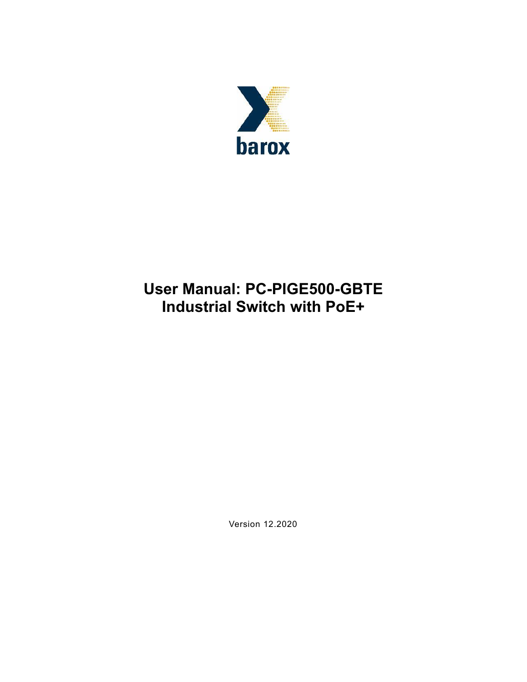

# **User Manual: PC-PIGE500-GBTE Industrial Switch with PoE+**

Version 12.2020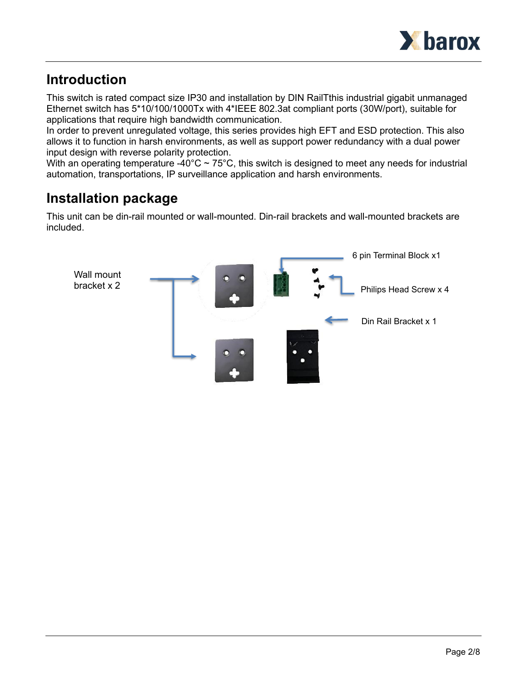

### **Introduction**

This switch is rated compact size IP30 and installation by DIN RailTthis industrial gigabit unmanaged Ethernet switch has 5\*10/100/1000Tx with 4\*IEEE 802.3at compliant ports (30W/port), suitable for applications that require high bandwidth communication.

In order to prevent unregulated voltage, this series provides high EFT and ESD protection. This also allows it to function in harsh environments, as well as support power redundancy with a dual power input design with reverse polarity protection.

With an operating temperature -40°C  $\sim$  75°C, this switch is designed to meet any needs for industrial automation, transportations, IP surveillance application and harsh environments.

## **Installation package**

This unit can be din-rail mounted or wall-mounted. Din-rail brackets and wall-mounted brackets are included.

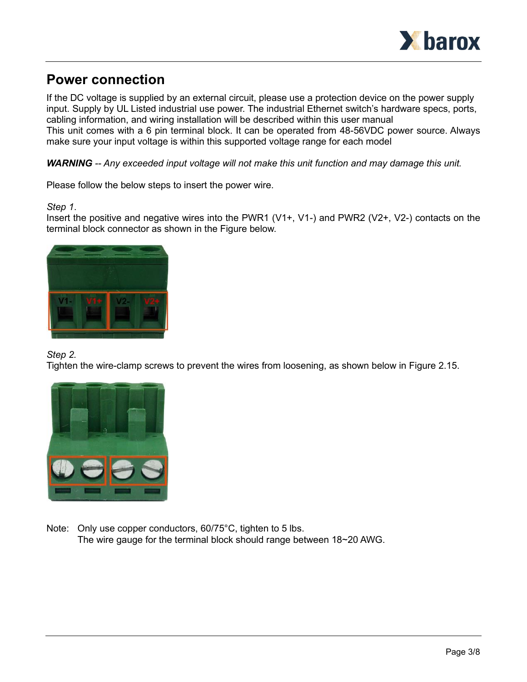

### **Power connection**

If the DC voltage is supplied by an external circuit, please use a protection device on the power supply input. Supply by UL Listed industrial use power. The industrial Ethernet switch's hardware specs, ports, cabling information, and wiring installation will be described within this user manual This unit comes with a 6 pin terminal block. It can be operated from 48-56VDC power source. Always make sure your input voltage is within this supported voltage range for each model

*WARNING -- Any exceeded input voltage will not make this unit function and may damage this unit.*

Please follow the below steps to insert the power wire.

#### *Step 1*.

Insert the positive and negative wires into the PWR1 (V1+, V1-) and PWR2 (V2+, V2-) contacts on the terminal block connector as shown in the Figure below.



#### *Step 2.*

Tighten the wire-clamp screws to prevent the wires from loosening, as shown below in Figure 2.15.



Note: Only use copper conductors, 60/75°C, tighten to 5 lbs. The wire gauge for the terminal block should range between 18~20 AWG.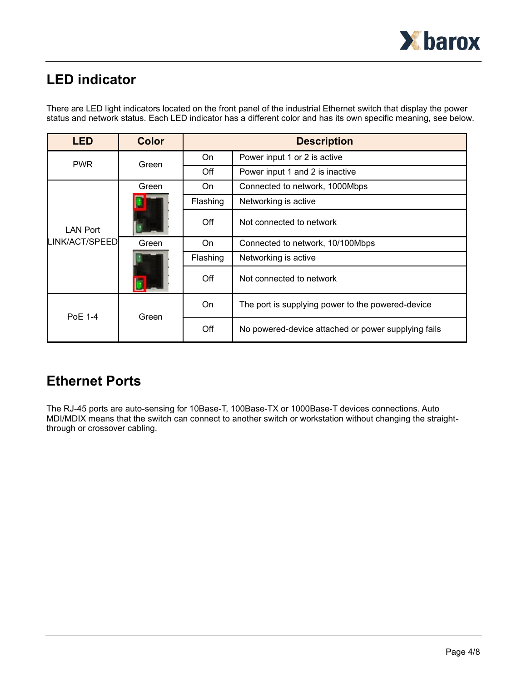

## **LED indicator**

There are LED light indicators located on the front panel of the industrial Ethernet switch that display the power status and network status. Each LED indicator has a different color and has its own specific meaning, see below.

| <b>LED</b>                        | <b>Color</b> | <b>Description</b> |                                                     |
|-----------------------------------|--------------|--------------------|-----------------------------------------------------|
| <b>PWR</b>                        | Green        | On                 | Power input 1 or 2 is active                        |
|                                   |              | Off                | Power input 1 and 2 is inactive                     |
| <b>LAN Port</b><br>LINK/ACT/SPEED | Green        | On                 | Connected to network, 1000Mbps                      |
|                                   |              | Flashing           | Networking is active                                |
|                                   |              | Off                | Not connected to network                            |
|                                   | Green        | On                 | Connected to network, 10/100Mbps                    |
|                                   |              | Flashing           | Networking is active                                |
|                                   |              | Off                | Not connected to network                            |
| PoE 1-4                           | Green        | On                 | The port is supplying power to the powered-device   |
|                                   |              | Off                | No powered-device attached or power supplying fails |

### **Ethernet Ports**

The RJ-45 ports are auto-sensing for 10Base-T, 100Base-TX or 1000Base-T devices connections. Auto MDI/MDIX means that the switch can connect to another switch or workstation without changing the straightthrough or crossover cabling.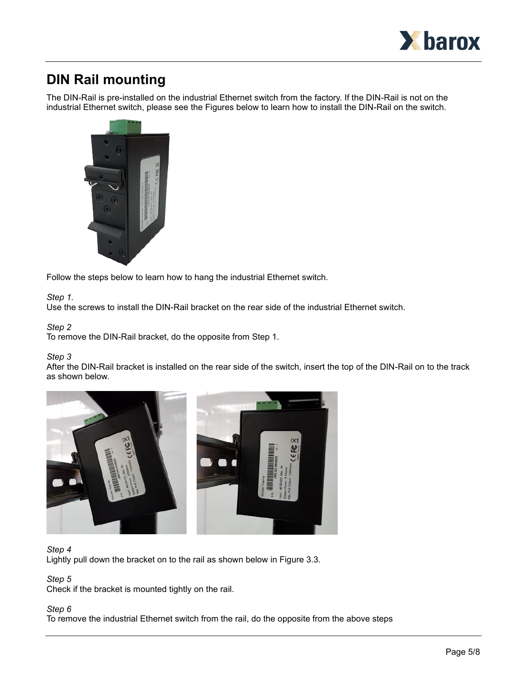

### **DIN Rail mounting**

The DIN-Rail is pre-installed on the industrial Ethernet switch from the factory. If the DIN-Rail is not on the industrial Ethernet switch, please see the Figures below to learn how to install the DIN-Rail on the switch.



Follow the steps below to learn how to hang the industrial Ethernet switch.

#### *Step 1.*

Use the screws to install the DIN-Rail bracket on the rear side of the industrial Ethernet switch.

#### *Step 2*

To remove the DIN-Rail bracket, do the opposite from Step 1.

#### *Step 3*

After the DIN-Rail bracket is installed on the rear side of the switch, insert the top of the DIN-Rail on to the track as shown below.



#### *Step 4*

Lightly pull down the bracket on to the rail as shown below in Figure 3.3.

#### *Step 5*

Check if the bracket is mounted tightly on the rail.

#### *Step 6*

To remove the industrial Ethernet switch from the rail, do the opposite from the above steps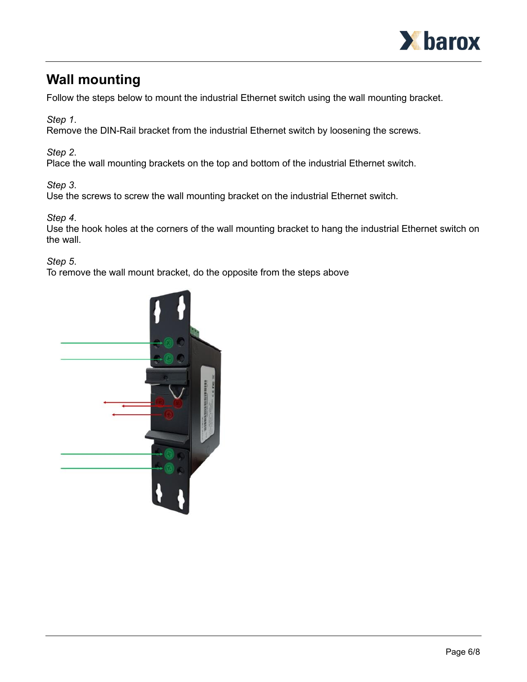

### **Wall mounting**

Follow the steps below to mount the industrial Ethernet switch using the wall mounting bracket.

*Step 1*.

Remove the DIN-Rail bracket from the industrial Ethernet switch by loosening the screws.

*Step 2*.

Place the wall mounting brackets on the top and bottom of the industrial Ethernet switch.

*Step 3*.

Use the screws to screw the wall mounting bracket on the industrial Ethernet switch.

*Step 4*.

Use the hook holes at the corners of the wall mounting bracket to hang the industrial Ethernet switch on the wall.

*Step 5*.

To remove the wall mount bracket, do the opposite from the steps above

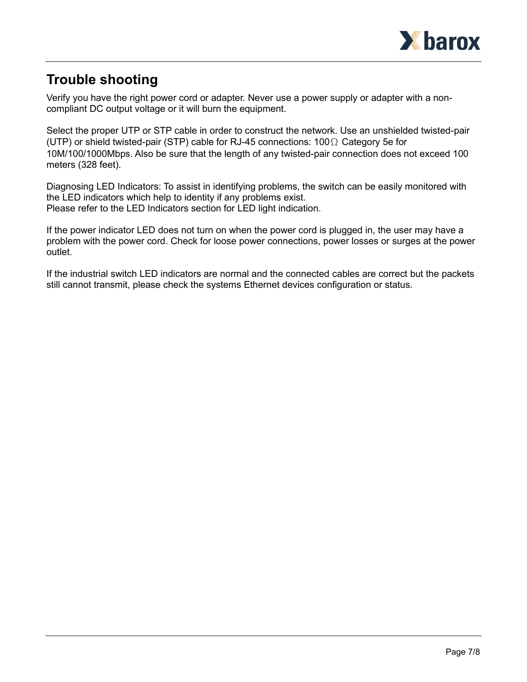

### **Trouble shooting**

Verify you have the right power cord or adapter. Never use a power supply or adapter with a noncompliant DC output voltage or it will burn the equipment.

Select the proper UTP or STP cable in order to construct the network. Use an unshielded twisted-pair (UTP) or shield twisted-pair (STP) cable for RJ-45 connections: 100Ω Category 5e for 10M/100/1000Mbps. Also be sure that the length of any twisted-pair connection does not exceed 100 meters (328 feet).

Diagnosing LED Indicators: To assist in identifying problems, the switch can be easily monitored with the LED indicators which help to identity if any problems exist. Please refer to the LED Indicators section for LED light indication.

If the power indicator LED does not turn on when the power cord is plugged in, the user may have a problem with the power cord. Check for loose power connections, power losses or surges at the power outlet.

If the industrial switch LED indicators are normal and the connected cables are correct but the packets still cannot transmit, please check the systems Ethernet devices configuration or status.